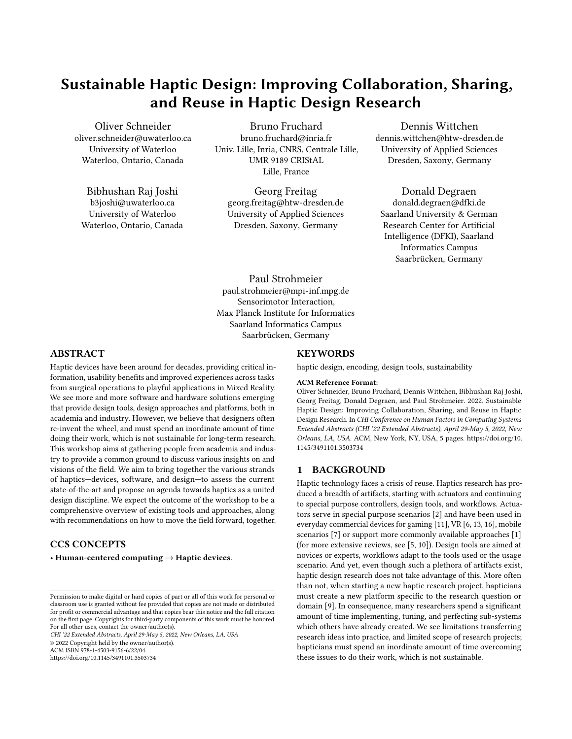# Sustainable Haptic Design: Improving Collaboration, Sharing, and Reuse in Haptic Design Research

Oliver Schneider oliver.schneider@uwaterloo.ca University of Waterloo Waterloo, Ontario, Canada

#### Bibhushan Raj Joshi

b3joshi@uwaterloo.ca University of Waterloo Waterloo, Ontario, Canada

Bruno Fruchard bruno.fruchard@inria.fr Univ. Lille, Inria, CNRS, Centrale Lille, UMR 9189 CRIStAL Lille, France

Georg Freitag georg.freitag@htw-dresden.de University of Applied Sciences Dresden, Saxony, Germany

[Dennis Wittchen](https://orcid.org/0000-0002-6190-1799) dennis.wittchen@htw-dresden.de University of Applied Sciences Dresden, Saxony, Germany

## [Donald Degraen](https://orcid.org/0000-0003-1029-931X)

donald.degraen@dfki.de Saarland University & German Research Center for Artificial Intelligence (DFKI), Saarland Informatics Campus Saarbrücken, Germany

#### Paul Strohmeier

paul.strohmeier@mpi-inf.mpg.de Sensorimotor Interaction, Max Planck Institute for Informatics Saarland Informatics Campus Saarbrücken, Germany

## ABSTRACT

Haptic devices have been around for decades, providing critical information, usability benefits and improved experiences across tasks from surgical operations to playful applications in Mixed Reality. We see more and more software and hardware solutions emerging that provide design tools, design approaches and platforms, both in academia and industry. However, we believe that designers often re-invent the wheel, and must spend an inordinate amount of time doing their work, which is not sustainable for long-term research. This workshop aims at gathering people from academia and industry to provide a common ground to discuss various insights on and visions of the field. We aim to bring together the various strands of haptics—devices, software, and design—to assess the current state-of-the-art and propose an agenda towards haptics as a united design discipline. We expect the outcome of the workshop to be a comprehensive overview of existing tools and approaches, along with recommendations on how to move the field forward, together.

## CCS CONCEPTS

• Human-centered computing  $\rightarrow$  Haptic devices.

CHI '22 Extended Abstracts, April 29-May 5, 2022, New Orleans, LA, USA

© 2022 Copyright held by the owner/author(s).

ACM ISBN 978-1-4503-9156-6/22/04.

<https://doi.org/10.1145/3491101.3503734>

#### **KEYWORDS**

haptic design, encoding, design tools, sustainability

#### ACM Reference Format:

Oliver Schneider, Bruno Fruchard, Dennis Wittchen, Bibhushan Raj Joshi, Georg Freitag, Donald Degraen, and Paul Strohmeier. 2022. Sustainable Haptic Design: Improving Collaboration, Sharing, and Reuse in Haptic Design Research. In CHI Conference on Human Factors in Computing Systems Extended Abstracts (CHI '22 Extended Abstracts), April 29-May 5, 2022, New Orleans, LA, USA. ACM, New York, NY, USA, [5](#page-4-0) pages. [https://doi.org/10.](https://doi.org/10.1145/3491101.3503734) [1145/3491101.3503734](https://doi.org/10.1145/3491101.3503734)

#### 1 BACKGROUND

Haptic technology faces a crisis of reuse. Haptics research has produced a breadth of artifacts, starting with actuators and continuing to special purpose controllers, design tools, and workflows. Actuators serve in special purpose scenarios [\[2\]](#page-3-0) and have been used in everyday commercial devices for gaming [\[11\]](#page-4-1), VR [\[6,](#page-4-2) [13,](#page-4-3) [16\]](#page-4-4), mobile scenarios [\[7\]](#page-4-5) or support more commonly available approaches [\[1\]](#page-3-1) (for more extensive reviews, see [\[5,](#page-4-6) [10\]](#page-4-7)). Design tools are aimed at novices or experts, workflows adapt to the tools used or the usage scenario. And yet, even though such a plethora of artifacts exist, haptic design research does not take advantage of this. More often than not, when starting a new haptic research project, hapticians must create a new platform specific to the research question or domain [\[9\]](#page-4-8). In consequence, many researchers spend a significant amount of time implementing, tuning, and perfecting sub-systems which others have already created. We see limitations transferring research ideas into practice, and limited scope of research projects; hapticians must spend an inordinate amount of time overcoming these issues to do their work, which is not sustainable.

Permission to make digital or hard copies of part or all of this work for personal or classroom use is granted without fee provided that copies are not made or distributed for profit or commercial advantage and that copies bear this notice and the full citation on the first page. Copyrights for third-party components of this work must be honored. For all other uses, contact the owner/author(s).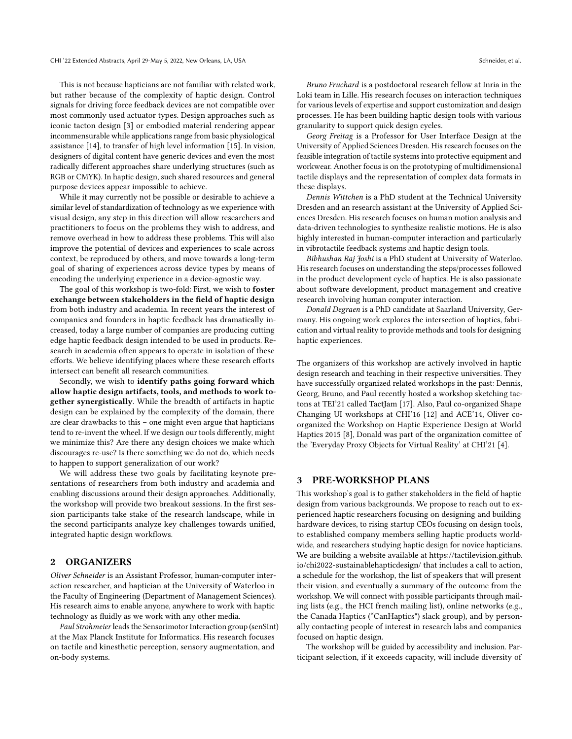This is not because hapticians are not familiar with related work, but rather because of the complexity of haptic design. Control signals for driving force feedback devices are not compatible over most commonly used actuator types. Design approaches such as iconic tacton design [\[3\]](#page-3-2) or embodied material rendering appear incommensurable while applications range from basic physiological assistance [\[14\]](#page-4-9), to transfer of high level information [\[15\]](#page-4-10). In vision, designers of digital content have generic devices and even the most radically different approaches share underlying structures (such as RGB or CMYK). In haptic design, such shared resources and general purpose devices appear impossible to achieve.

While it may currently not be possible or desirable to achieve a similar level of standardization of technology as we experience with visual design, any step in this direction will allow researchers and practitioners to focus on the problems they wish to address, and remove overhead in how to address these problems. This will also improve the potential of devices and experiences to scale across context, be reproduced by others, and move towards a long-term goal of sharing of experiences across device types by means of encoding the underlying experience in a device-agnostic way.

The goal of this workshop is two-fold: First, we wish to foster exchange between stakeholders in the field of haptic design from both industry and academia. In recent years the interest of companies and founders in haptic feedback has dramatically increased, today a large number of companies are producing cutting edge haptic feedback design intended to be used in products. Research in academia often appears to operate in isolation of these efforts. We believe identifying places where these research efforts intersect can benefit all research communities.

Secondly, we wish to identify paths going forward which allow haptic design artifacts, tools, and methods to work together synergistically. While the breadth of artifacts in haptic design can be explained by the complexity of the domain, there are clear drawbacks to this – one might even argue that hapticians tend to re-invent the wheel. If we design our tools differently, might we minimize this? Are there any design choices we make which discourages re-use? Is there something we do not do, which needs to happen to support generalization of our work?

We will address these two goals by facilitating keynote presentations of researchers from both industry and academia and enabling discussions around their design approaches. Additionally, the workshop will provide two breakout sessions. In the first session participants take stake of the research landscape, while in the second participants analyze key challenges towards unified, integrated haptic design workflows.

#### 2 ORGANIZERS

Oliver Schneider is an Assistant Professor, human-computer interaction researcher, and haptician at the University of Waterloo in the Faculty of Engineering (Department of Management Sciences). His research aims to enable anyone, anywhere to work with haptic technology as fluidly as we work with any other media.

Paul Strohmeier leads the Sensorimotor Interaction group (senSInt) at the Max Planck Institute for Informatics. His research focuses on tactile and kinesthetic perception, sensory augmentation, and on-body systems.

Bruno Fruchard is a postdoctoral research fellow at Inria in the Loki team in Lille. His research focuses on interaction techniques for various levels of expertise and support customization and design processes. He has been building haptic design tools with various granularity to support quick design cycles.

Georg Freitag is a Professor for User Interface Design at the University of Applied Sciences Dresden. His research focuses on the feasible integration of tactile systems into protective equipment and workwear. Another focus is on the prototyping of multidimensional tactile displays and the representation of complex data formats in these displays.

Dennis Wittchen is a PhD student at the Technical University Dresden and an research assistant at the University of Applied Sciences Dresden. His research focuses on human motion analysis and data-driven technologies to synthesize realistic motions. He is also highly interested in human-computer interaction and particularly in vibrotactile feedback systems and haptic design tools.

Bibhushan Raj Joshi is a PhD student at University of Waterloo. His research focuses on understanding the steps/processes followed in the product development cycle of haptics. He is also passionate about software development, product management and creative research involving human computer interaction.

Donald Degraen is a PhD candidate at Saarland University, Germany. His ongoing work explores the intersection of haptics, fabrication and virtual reality to provide methods and tools for designing haptic experiences.

The organizers of this workshop are actively involved in haptic design research and teaching in their respective universities. They have successfully organized related workshops in the past: Dennis, Georg, Bruno, and Paul recently hosted a workshop sketching tactons at TEI'21 called TactJam [\[17\]](#page-4-11). Also, Paul co-organized Shape Changing UI workshops at CHI'16 [\[12\]](#page-4-12) and ACE'14, Oliver coorganized the Workshop on Haptic Experience Design at World Haptics 2015 [\[8\]](#page-4-13), Donald was part of the organization comittee of the 'Everyday Proxy Objects for Virtual Reality' at CHI'21 [\[4\]](#page-3-3).

#### 3 PRE-WORKSHOP PLANS

This workshop's goal is to gather stakeholders in the field of haptic design from various backgrounds. We propose to reach out to experienced haptic researchers focusing on designing and building hardware devices, to rising startup CEOs focusing on design tools, to established company members selling haptic products worldwide, and researchers studying haptic design for novice hapticians. We are building a website available at [https://tactilevision.github.](https://tactilevision.github.io/chi2022-sustainablehapticdesign/) [io/chi2022-sustainablehapticdesign/](https://tactilevision.github.io/chi2022-sustainablehapticdesign/) that includes a call to action, a schedule for the workshop, the list of speakers that will present their vision, and eventually a summary of the outcome from the workshop. We will connect with possible participants through mailing lists (e.g., the HCI french mailing list), online networks (e.g., the Canada Haptics ("CanHaptics") slack group), and by personally contacting people of interest in research labs and companies focused on haptic design.

The workshop will be guided by accessibility and inclusion. Participant selection, if it exceeds capacity, will include diversity of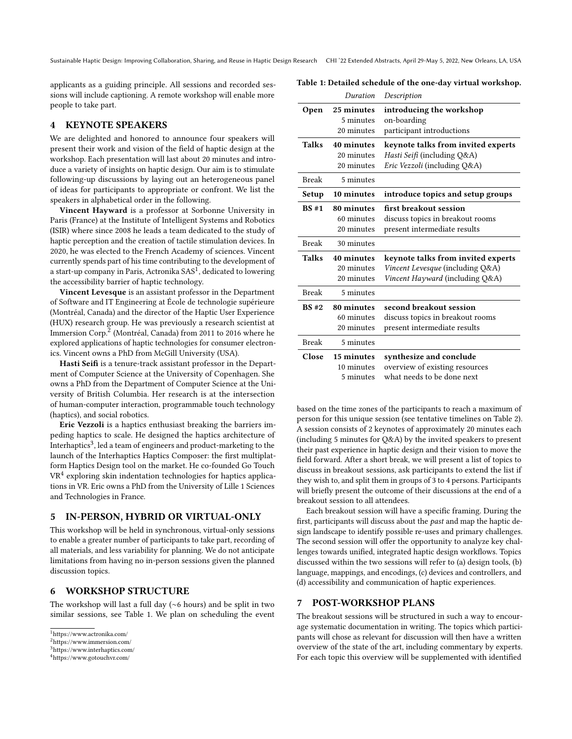Sustainable Haptic Design: Improving Collaboration, Sharing, and Reuse in Haptic Design Research CHI '22 Extended Abstracts, April 29-May 5, 2022, New Orleans, LA, USA

applicants as a guiding principle. All sessions and recorded sessions will include captioning. A remote workshop will enable more people to take part.

<span id="page-2-4"></span>Table 1: Detailed schedule of the one-day virtual workshop.

## 4 KEYNOTE SPEAKERS

We are delighted and honored to announce four speakers will present their work and vision of the field of haptic design at the workshop. Each presentation will last about 20 minutes and introduce a variety of insights on haptic design. Our aim is to stimulate following-up discussions by laying out an heterogeneous panel of ideas for participants to appropriate or confront. We list the speakers in alphabetical order in the following.

Vincent Hayward is a professor at Sorbonne University in Paris (France) at the Institute of Intelligent Systems and Robotics (ISIR) where since 2008 he leads a team dedicated to the study of haptic perception and the creation of tactile stimulation devices. In 2020, he was elected to the French Academy of sciences. Vincent currently spends part of his time contributing to the development of a start-up company in Paris, Actronika  $SAS<sup>T</sup>$ , dedicated to lowering the accessibility barrier of haptic technology.

Vincent Levesque is an assistant professor in the Department of Software and IT Engineering at École de technologie supérieure (Montréal, Canada) and the director of the Haptic User Experience (HUX) research group. He was previously a research scientist at Immersion Corp.[2](#page-2-1) (Montréal, Canada) from 2011 to 2016 where he explored applications of haptic technologies for consumer electronics. Vincent owns a PhD from McGill University (USA).

Hasti Seifi is a tenure-track assistant professor in the Department of Computer Science at the University of Copenhagen. She owns a PhD from the Department of Computer Science at the University of British Columbia. Her research is at the intersection of human-computer interaction, programmable touch technology (haptics), and social robotics.

Eric Vezzoli is a haptics enthusiast breaking the barriers impeding haptics to scale. He designed the haptics architecture of Interhaptics $^3$  $^3$ , led a team of engineers and product-marketing to the launch of the Interhaptics Haptics Composer: the first multiplatform Haptics Design tool on the market. He co-founded Go Touch VR[4](#page-2-3) exploring skin indentation technologies for haptics applications in VR. Eric owns a PhD from the University of Lille 1 Sciences and Technologies in France.

#### 5 IN-PERSON, HYBRID OR VIRTUAL-ONLY

This workshop will be held in synchronous, virtual-only sessions to enable a greater number of participants to take part, recording of all materials, and less variability for planning. We do not anticipate limitations from having no in-person sessions given the planned discussion topics.

## 6 WORKSHOP STRUCTURE

The workshop will last a full day (∼6 hours) and be split in two similar sessions, see [Table 1.](#page-2-4) We plan on scheduling the event

|                     | Duration                               | Description                                                                                               |  |
|---------------------|----------------------------------------|-----------------------------------------------------------------------------------------------------------|--|
| <b>Open</b>         | 25 minutes<br>5 minutes<br>20 minutes  | introducing the workshop<br>on-boarding<br>participant introductions                                      |  |
| Talks               | 40 minutes<br>20 minutes<br>20 minutes | keynote talks from invited experts<br>Hasti Seifi (including Q&A)<br>Eric Vezzoli (including Q&A)         |  |
| <b>Break</b>        | 5 minutes                              |                                                                                                           |  |
| 10 minutes<br>Setup |                                        | introduce topics and setup groups                                                                         |  |
| BS#1                | 80 minutes<br>60 minutes<br>20 minutes | first breakout session<br>discuss topics in breakout rooms<br>present intermediate results                |  |
| <b>Break</b>        | 30 minutes                             |                                                                                                           |  |
| <b>Talks</b>        | 40 minutes<br>20 minutes<br>20 minutes | keynote talks from invited experts<br>Vincent Levesque (including Q&A)<br>Vincent Hayward (including Q&A) |  |
| <b>Break</b>        | 5 minutes                              |                                                                                                           |  |
| BS#2                | 80 minutes<br>60 minutes<br>20 minutes | second breakout session<br>discuss topics in breakout rooms<br>present intermediate results               |  |
| <b>Break</b>        | 5 minutes                              |                                                                                                           |  |
| Close               | 15 minutes<br>10 minutes<br>5 minutes  | synthesize and conclude<br>overview of existing resources<br>what needs to be done next                   |  |

based on the time zones of the participants to reach a maximum of person for this unique session (see tentative timelines on [Table 2\)](#page-3-4). A session consists of 2 keynotes of approximately 20 minutes each (including 5 minutes for Q&A) by the invited speakers to present their past experience in haptic design and their vision to move the field forward. After a short break, we will present a list of topics to discuss in breakout sessions, ask participants to extend the list if they wish to, and split them in groups of 3 to 4 persons. Participants will briefly present the outcome of their discussions at the end of a breakout session to all attendees.

Each breakout session will have a specific framing. During the first, participants will discuss about the *past* and map the haptic design landscape to identify possible re-uses and primary challenges. The second session will offer the opportunity to analyze key challenges towards unified, integrated haptic design workflows. Topics discussed within the two sessions will refer to (a) design tools, (b) language, mappings, and encodings, (c) devices and controllers, and (d) accessibility and communication of haptic experiences.

## 7 POST-WORKSHOP PLANS

The breakout sessions will be structured in such a way to encourage systematic documentation in writing. The topics which participants will chose as relevant for discussion will then have a written overview of the state of the art, including commentary by experts. For each topic this overview will be supplemented with identified

<span id="page-2-0"></span><sup>1</sup>https://www.actronika.com/

<span id="page-2-1"></span><sup>2</sup>https://www.immersion.com/

<span id="page-2-2"></span><sup>3</sup>https://www.interhaptics.com/

<span id="page-2-3"></span><sup>4</sup>https://www.gotouchvr.com/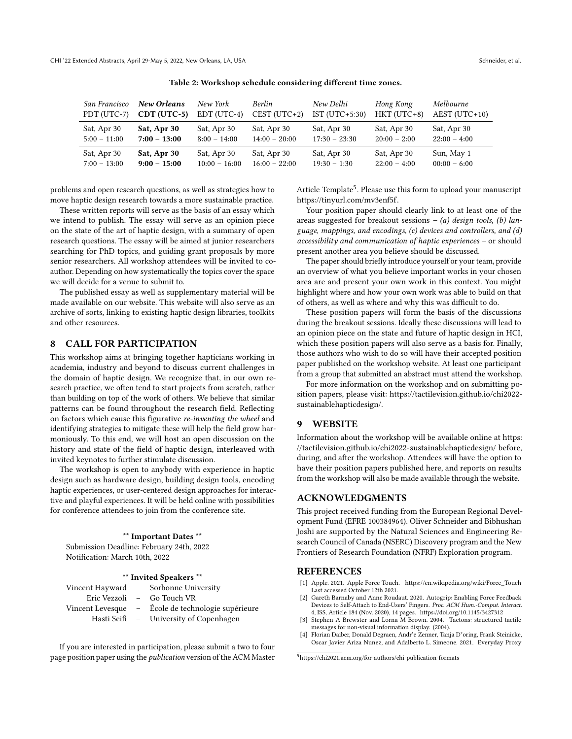| Table 2: Workshop schedule considering different time zones. |  |
|--------------------------------------------------------------|--|
|--------------------------------------------------------------|--|

<span id="page-3-4"></span>

| San Francisco  | New Orleans    | New York        | <b>Berlin</b>   | New Delhi        | Hong Kong      | Melbourne       |
|----------------|----------------|-----------------|-----------------|------------------|----------------|-----------------|
| PDT (UTC-7)    | $CDT (UTC-5)$  | EDT (UTC-4)     | $CEST (UTC+2)$  | IST $(UTC+5:30)$ | $HKT$ (UTC+8)  | $AEST (UTC+10)$ |
| Sat, Apr 30    | Sat, Apr 30    | Sat, Apr 30     | Sat, Apr 30     | Sat, Apr 30      | Sat, Apr 30    | Sat, Apr 30     |
| $5:00 - 11:00$ | $7:00 - 13:00$ | $8:00 - 14:00$  | $14:00 - 20:00$ | $17:30 - 23:30$  | $20:00 - 2:00$ | $22:00 - 4:00$  |
| Sat, Apr 30    | Sat, Apr 30    | Sat, Apr 30     | Sat, Apr 30     | Sat, Apr 30      | Sat, Apr 30    | Sun, May 1      |
| $7:00 - 13:00$ | $9:00 - 15:00$ | $10:00 - 16:00$ | $16:00 - 22:00$ | $19:30 - 1:30$   | $22:00 - 4:00$ | $00:00 - 6:00$  |

problems and open research questions, as well as strategies how to move haptic design research towards a more sustainable practice.

These written reports will serve as the basis of an essay which we intend to publish. The essay will serve as an opinion piece on the state of the art of haptic design, with a summary of open research questions. The essay will be aimed at junior researchers searching for PhD topics, and guiding grant proposals by more senior researchers. All workshop attendees will be invited to coauthor. Depending on how systematically the topics cover the space we will decide for a venue to submit to.

The published essay as well as supplementary material will be made available on our website. This website will also serve as an archive of sorts, linking to existing haptic design libraries, toolkits and other resources.

## 8 CALL FOR PARTICIPATION

This workshop aims at bringing together hapticians working in academia, industry and beyond to discuss current challenges in the domain of haptic design. We recognize that, in our own research practice, we often tend to start projects from scratch, rather than building on top of the work of others. We believe that similar patterns can be found throughout the research field. Reflecting on factors which cause this figurative re-inventing the wheel and identifying strategies to mitigate these will help the field grow harmoniously. To this end, we will host an open discussion on the history and state of the field of haptic design, interleaved with invited keynotes to further stimulate discussion.

The workshop is open to anybody with experience in haptic design such as hardware design, building design tools, encoding haptic experiences, or user-centered design approaches for interactive and playful experiences. It will be held online with possibilities for conference attendees to join from the conference site.

\*\* Important Dates \*\* Submission Deadline: February 24th, 2022 Notification: March 10th, 2022

#### \*\* Invited Speakers \*\*

|  | Vincent Hayward - Sorbonne University              |
|--|----------------------------------------------------|
|  | Eric Vezzoli – Go Touch VR                         |
|  | Vincent Levesque - École de technologie supérieure |
|  | Hasti Seifi - University of Copenhagen             |

If you are interested in participation, please submit a two to four page position paper using the publication version of the ACM Master

Article Template<sup>[5](#page-3-5)</sup>. Please use this form to upload your manuscript [https://tinyurl.com/mv3enf5f.](https://tinyurl.com/mv3enf5f)

Your position paper should clearly link to at least one of the areas suggested for breakout sessions  $-$  (a) design tools, (b) language, mappings, and encodings, (c) devices and controllers, and (d) accessibility and communication of haptic experiences – or should present another area you believe should be discussed.

The paper should briefly introduce yourself or your team, provide an overview of what you believe important works in your chosen area are and present your own work in this context. You might highlight where and how your own work was able to build on that of others, as well as where and why this was difficult to do.

These position papers will form the basis of the discussions during the breakout sessions. Ideally these discussions will lead to an opinion piece on the state and future of haptic design in HCI, which these position papers will also serve as a basis for. Finally, those authors who wish to do so will have their accepted position paper published on the workshop website. At least one participant from a group that submitted an abstract must attend the workshop.

For more information on the workshop and on submitting position papers, please visit: [https://tactilevision.github.io/chi2022](https://tactilevision.github.io/chi2022-sustainablehapticdesign/) [sustainablehapticdesign/.](https://tactilevision.github.io/chi2022-sustainablehapticdesign/)

#### 9 WEBSITE

Information about the workshop will be available online at [https:](https://tactilevision.github.io/chi2022-sustainablehapticdesign/) [//tactilevision.github.io/chi2022-sustainablehapticdesign/](https://tactilevision.github.io/chi2022-sustainablehapticdesign/) before, during, and after the workshop. Attendees will have the option to have their position papers published here, and reports on results from the workshop will also be made available through the website.

#### ACKNOWLEDGMENTS

This project received funding from the European Regional Development Fund (EFRE 100384964). Oliver Schneider and Bibhushan Joshi are supported by the Natural Sciences and Engineering Research Council of Canada (NSERC) Discovery program and the New Frontiers of Research Foundation (NFRF) Exploration program.

#### REFERENCES

- <span id="page-3-1"></span>Apple. 2021. Apple Force Touch. [https://en.wikipedia.org/wiki/Force\\_Touch](https://en.wikipedia.org/wiki/Force_Touch) Last accessed October 12th 2021.
- <span id="page-3-0"></span>[2] Gareth Barnaby and Anne Roudaut. 2020. Autogrip: Enabling Force Feedback Devices to Self-Attach to End-Users' Fingers. Proc. ACM Hum.-Comput. Interact. 4, ISS, Article 184 (Nov. 2020), 14 pages.<https://doi.org/10.1145/3427312>
- <span id="page-3-2"></span>[3] Stephen A Brewster and Lorna M Brown. 2004. Tactons: structured tactile messages for non-visual information display. (2004).
- <span id="page-3-3"></span>[4] Florian Daiber, Donald Degraen, Andr'e Zenner, Tanja D"oring, Frank Steinicke, Oscar Javier Ariza Nunez, and Adalberto L. Simeone. 2021. Everyday Proxy

<span id="page-3-5"></span><sup>5</sup>https://chi2021.acm.org/for-authors/chi-publication-formats